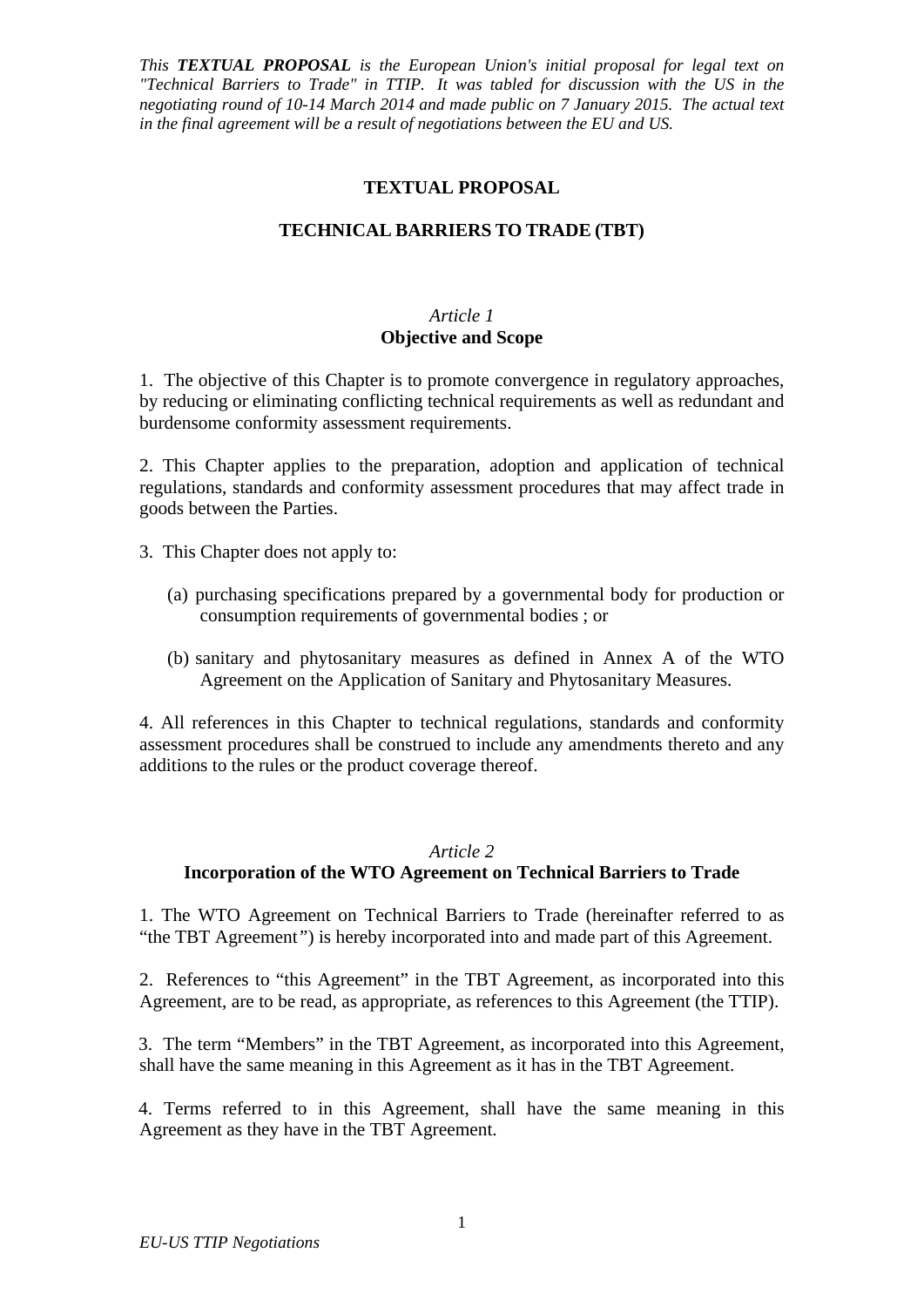## **TEXTUAL PROPOSAL**

## **TECHNICAL BARRIERS TO TRADE (TBT)**

### *Article 1* **Objective and Scope**

1. The objective of this Chapter is to promote convergence in regulatory approaches, by reducing or eliminating conflicting technical requirements as well as redundant and burdensome conformity assessment requirements.

2. This Chapter applies to the preparation, adoption and application of technical regulations, standards and conformity assessment procedures that may affect trade in goods between the Parties.

3. This Chapter does not apply to:

- (a) purchasing specifications prepared by a governmental body for production or consumption requirements of governmental bodies ; or
- (b) sanitary and phytosanitary measures as defined in Annex A of the WTO Agreement on the Application of Sanitary and Phytosanitary Measures.

4. All references in this Chapter to technical regulations, standards and conformity assessment procedures shall be construed to include any amendments thereto and any additions to the rules or the product coverage thereof.

#### *Article 2*

### **Incorporation of the WTO Agreement on Technical Barriers to Trade**

1. The WTO Agreement on Technical Barriers to Trade (hereinafter referred to as "the TBT Agreement*"*) is hereby incorporated into and made part of this Agreement.

2. References to "this Agreement" in the TBT Agreement, as incorporated into this Agreement, are to be read, as appropriate, as references to this Agreement (the TTIP).

3. The term "Members" in the TBT Agreement, as incorporated into this Agreement, shall have the same meaning in this Agreement as it has in the TBT Agreement.

4. Terms referred to in this Agreement, shall have the same meaning in this Agreement as they have in the TBT Agreement.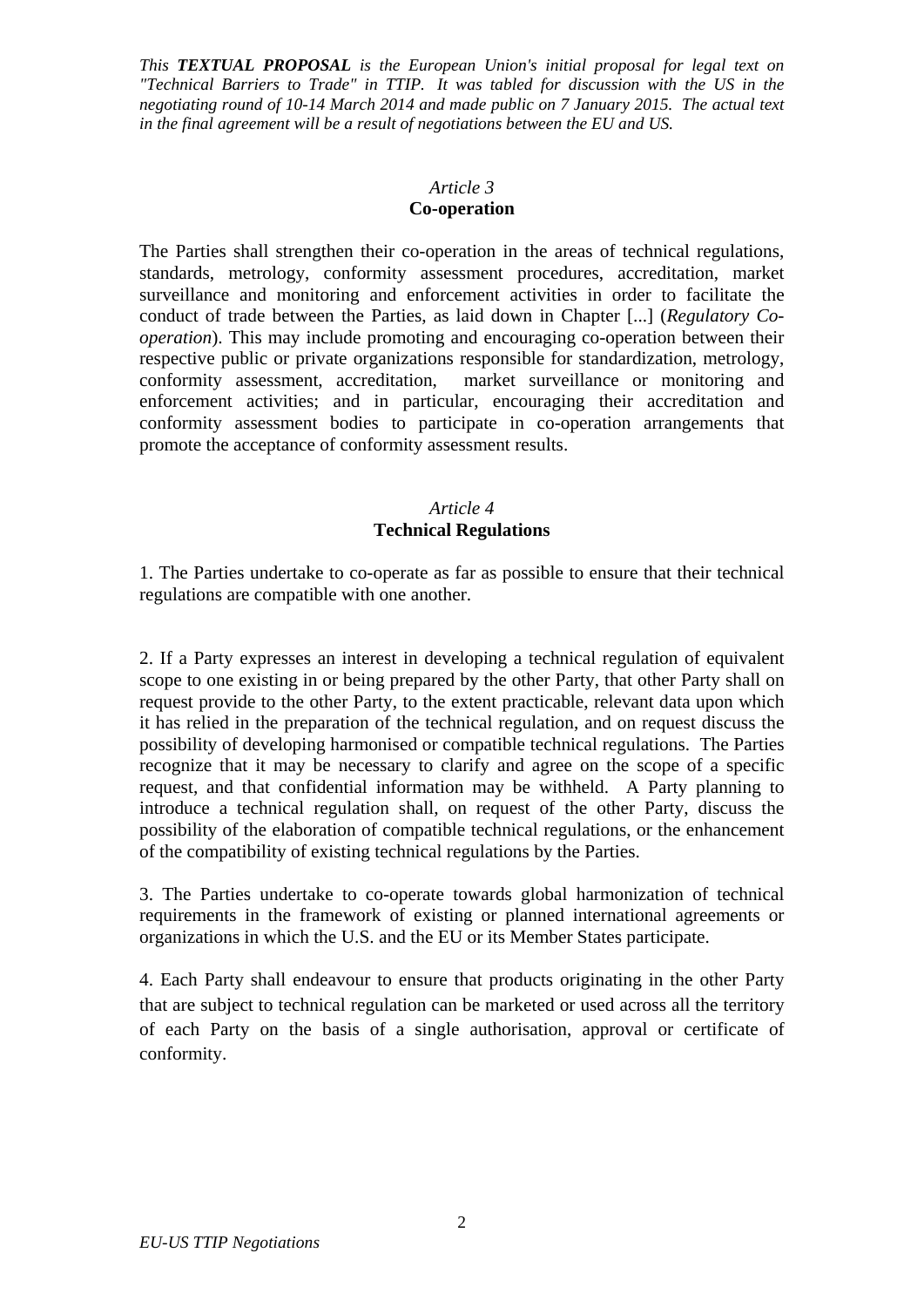# *Article 3*

## **Co-operation**

The Parties shall strengthen their co-operation in the areas of technical regulations, standards, metrology, conformity assessment procedures, accreditation, market surveillance and monitoring and enforcement activities in order to facilitate the conduct of trade between the Parties, as laid down in Chapter [...] (*Regulatory Cooperation*). This may include promoting and encouraging co-operation between their respective public or private organizations responsible for standardization, metrology, conformity assessment, accreditation, market surveillance or monitoring and enforcement activities; and in particular, encouraging their accreditation and conformity assessment bodies to participate in co-operation arrangements that promote the acceptance of conformity assessment results.

## *Article 4*  **Technical Regulations**

1. The Parties undertake to co-operate as far as possible to ensure that their technical regulations are compatible with one another.

2. If a Party expresses an interest in developing a technical regulation of equivalent scope to one existing in or being prepared by the other Party, that other Party shall on request provide to the other Party, to the extent practicable, relevant data upon which it has relied in the preparation of the technical regulation, and on request discuss the possibility of developing harmonised or compatible technical regulations. The Parties recognize that it may be necessary to clarify and agree on the scope of a specific request, and that confidential information may be withheld. A Party planning to introduce a technical regulation shall, on request of the other Party, discuss the possibility of the elaboration of compatible technical regulations, or the enhancement of the compatibility of existing technical regulations by the Parties.

3. The Parties undertake to co-operate towards global harmonization of technical requirements in the framework of existing or planned international agreements or organizations in which the U.S. and the EU or its Member States participate.

4. Each Party shall endeavour to ensure that products originating in the other Party that are subject to technical regulation can be marketed or used across all the territory of each Party on the basis of a single authorisation, approval or certificate of conformity.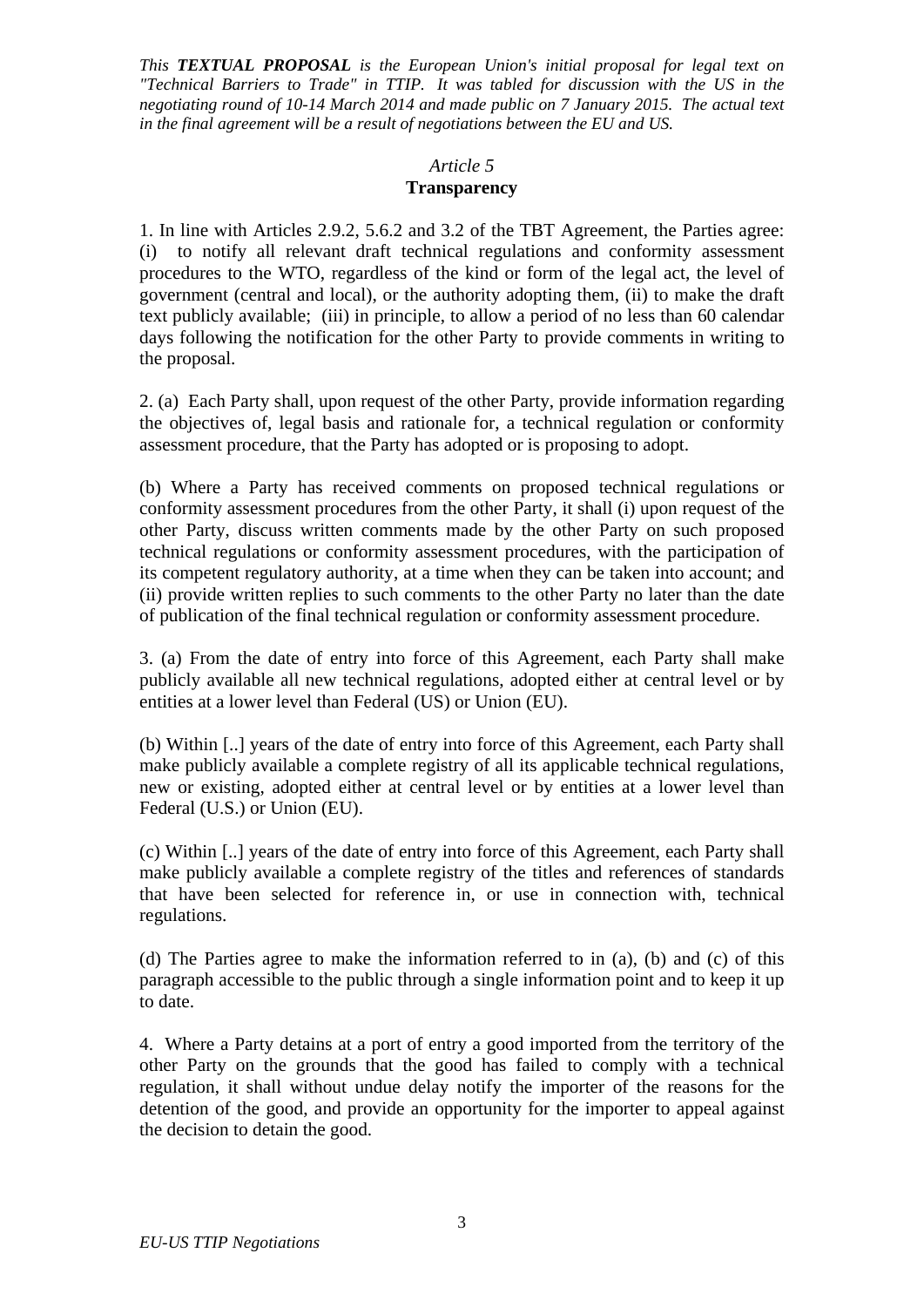#### *Article 5*

### **Transparency**

1. In line with Articles 2.9.2, 5.6.2 and 3.2 of the TBT Agreement, the Parties agree: (i) to notify all relevant draft technical regulations and conformity assessment procedures to the WTO, regardless of the kind or form of the legal act, the level of government (central and local), or the authority adopting them, (ii) to make the draft text publicly available; (iii) in principle, to allow a period of no less than 60 calendar days following the notification for the other Party to provide comments in writing to the proposal.

2. (a) Each Party shall, upon request of the other Party, provide information regarding the objectives of, legal basis and rationale for, a technical regulation or conformity assessment procedure, that the Party has adopted or is proposing to adopt.

(b) Where a Party has received comments on proposed technical regulations or conformity assessment procedures from the other Party, it shall (i) upon request of the other Party, discuss written comments made by the other Party on such proposed technical regulations or conformity assessment procedures, with the participation of its competent regulatory authority, at a time when they can be taken into account; and (ii) provide written replies to such comments to the other Party no later than the date of publication of the final technical regulation or conformity assessment procedure.

3. (a) From the date of entry into force of this Agreement, each Party shall make publicly available all new technical regulations, adopted either at central level or by entities at a lower level than Federal (US) or Union (EU).

(b) Within [..] years of the date of entry into force of this Agreement, each Party shall make publicly available a complete registry of all its applicable technical regulations, new or existing, adopted either at central level or by entities at a lower level than Federal (U.S.) or Union (EU).

(c) Within [..] years of the date of entry into force of this Agreement, each Party shall make publicly available a complete registry of the titles and references of standards that have been selected for reference in, or use in connection with, technical regulations.

(d) The Parties agree to make the information referred to in (a), (b) and (c) of this paragraph accessible to the public through a single information point and to keep it up to date.

4. Where a Party detains at a port of entry a good imported from the territory of the other Party on the grounds that the good has failed to comply with a technical regulation, it shall without undue delay notify the importer of the reasons for the detention of the good, and provide an opportunity for the importer to appeal against the decision to detain the good.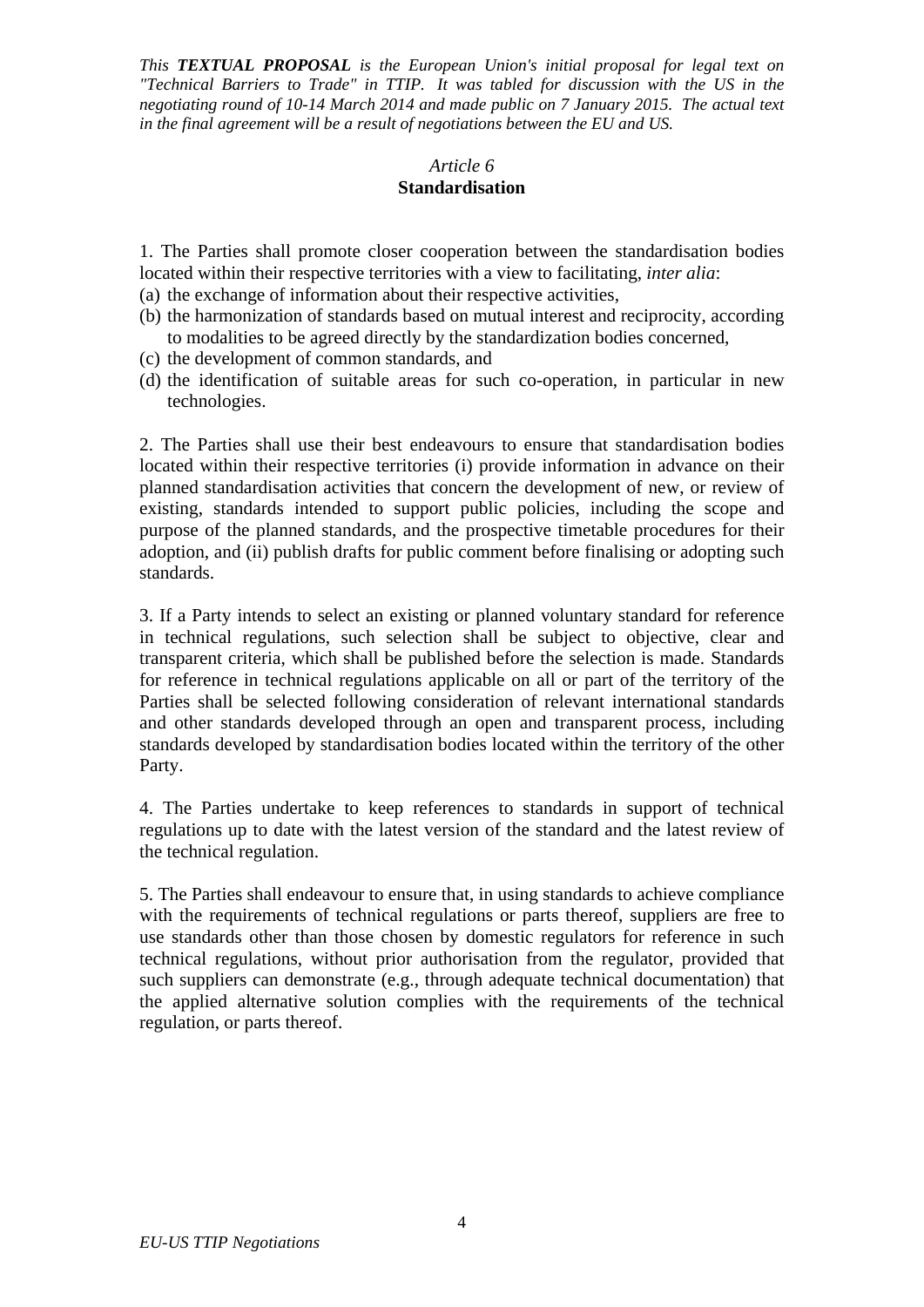# *Article 6*

## **Standardisation**

1. The Parties shall promote closer cooperation between the standardisation bodies located within their respective territories with a view to facilitating, *inter alia*:

- (a) the exchange of information about their respective activities,
- (b) the harmonization of standards based on mutual interest and reciprocity, according to modalities to be agreed directly by the standardization bodies concerned,
- (c) the development of common standards, and
- (d) the identification of suitable areas for such co-operation, in particular in new technologies.

2. The Parties shall use their best endeavours to ensure that standardisation bodies located within their respective territories (i) provide information in advance on their planned standardisation activities that concern the development of new, or review of existing, standards intended to support public policies, including the scope and purpose of the planned standards, and the prospective timetable procedures for their adoption, and (ii) publish drafts for public comment before finalising or adopting such standards.

3. If a Party intends to select an existing or planned voluntary standard for reference in technical regulations, such selection shall be subject to objective, clear and transparent criteria, which shall be published before the selection is made. Standards for reference in technical regulations applicable on all or part of the territory of the Parties shall be selected following consideration of relevant international standards and other standards developed through an open and transparent process, including standards developed by standardisation bodies located within the territory of the other Party.

4. The Parties undertake to keep references to standards in support of technical regulations up to date with the latest version of the standard and the latest review of the technical regulation.

5. The Parties shall endeavour to ensure that, in using standards to achieve compliance with the requirements of technical regulations or parts thereof, suppliers are free to use standards other than those chosen by domestic regulators for reference in such technical regulations, without prior authorisation from the regulator, provided that such suppliers can demonstrate (e.g., through adequate technical documentation) that the applied alternative solution complies with the requirements of the technical regulation, or parts thereof.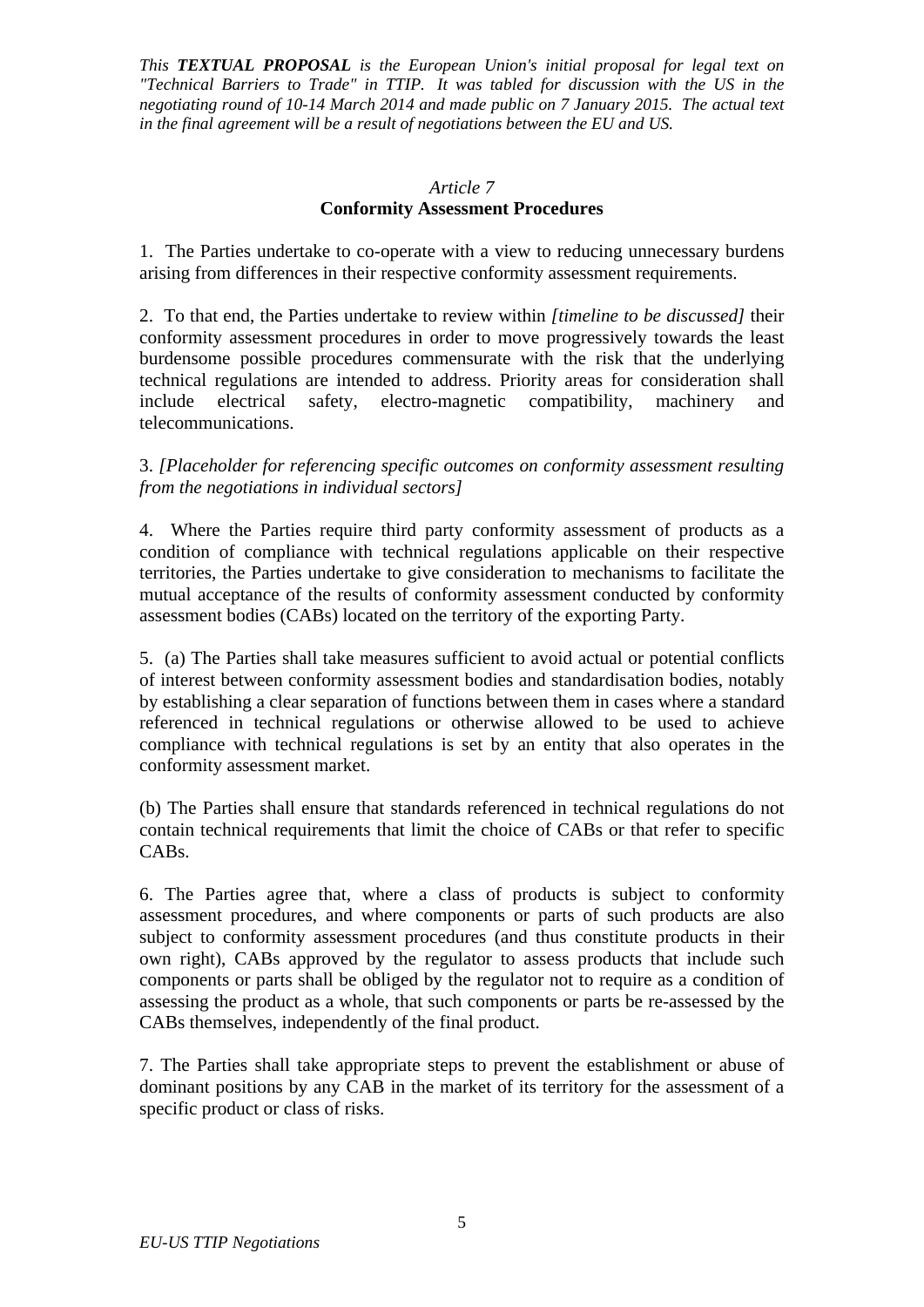#### *Article 7*

### **Conformity Assessment Procedures**

1. The Parties undertake to co-operate with a view to reducing unnecessary burdens arising from differences in their respective conformity assessment requirements.

2. To that end, the Parties undertake to review within *[timeline to be discussed]* their conformity assessment procedures in order to move progressively towards the least burdensome possible procedures commensurate with the risk that the underlying technical regulations are intended to address. Priority areas for consideration shall include electrical safety, electro-magnetic compatibility, machinery and telecommunications.

3. *[Placeholder for referencing specific outcomes on conformity assessment resulting from the negotiations in individual sectors]*

4. Where the Parties require third party conformity assessment of products as a condition of compliance with technical regulations applicable on their respective territories, the Parties undertake to give consideration to mechanisms to facilitate the mutual acceptance of the results of conformity assessment conducted by conformity assessment bodies (CABs) located on the territory of the exporting Party.

5. (a) The Parties shall take measures sufficient to avoid actual or potential conflicts of interest between conformity assessment bodies and standardisation bodies, notably by establishing a clear separation of functions between them in cases where a standard referenced in technical regulations or otherwise allowed to be used to achieve compliance with technical regulations is set by an entity that also operates in the conformity assessment market.

(b) The Parties shall ensure that standards referenced in technical regulations do not contain technical requirements that limit the choice of CABs or that refer to specific CABs.

6. The Parties agree that, where a class of products is subject to conformity assessment procedures, and where components or parts of such products are also subject to conformity assessment procedures (and thus constitute products in their own right), CABs approved by the regulator to assess products that include such components or parts shall be obliged by the regulator not to require as a condition of assessing the product as a whole, that such components or parts be re-assessed by the CABs themselves, independently of the final product.

7. The Parties shall take appropriate steps to prevent the establishment or abuse of dominant positions by any CAB in the market of its territory for the assessment of a specific product or class of risks.